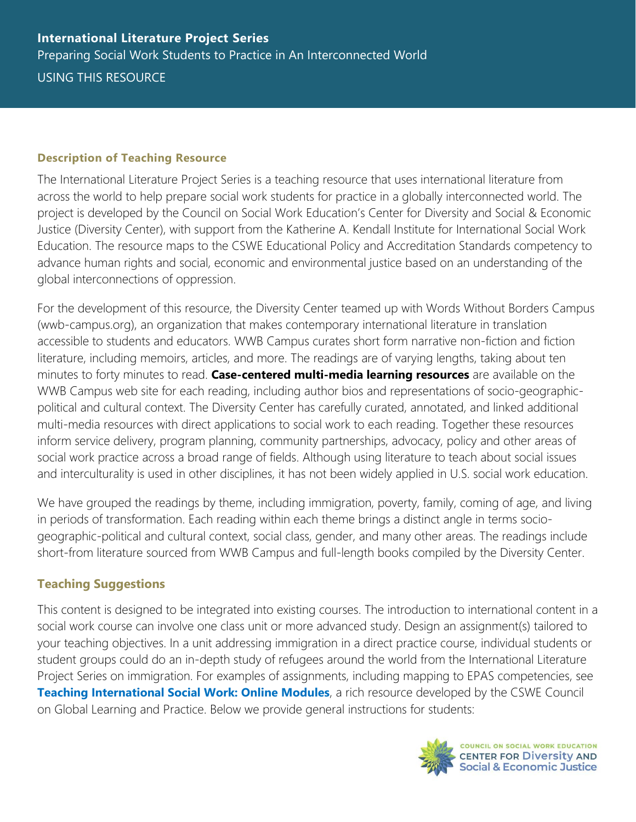## **Description of Teaching Resource**

The International Literature Project Series is a teaching resource that uses international literature from across the world to help prepare social work students for practice in a globally interconnected world. The project is developed by the Council on Social Work Education's Center for Diversity and Social & Economic Justice (Diversity Center), with support from the Katherine A. Kendall Institute for International Social Work Education. The resource maps to the CSWE Educational Policy and Accreditation Standards competency to advance human rights and social, economic and environmental justice based on an understanding of the global interconnections of oppression.

For the development of this resource, the Diversity Center teamed up with Words Without Borders Campus (wwb-campus.org), an organization that makes contemporary international literature in translation accessible to students and educators. WWB Campus curates short form narrative non-fiction and fiction literature, including memoirs, articles, and more. The readings are of varying lengths, taking about ten minutes to forty minutes to read. **Case-centered multi-media learning resources** are available on the WWB Campus web site for each reading, including author bios and representations of socio-geographicpolitical and cultural context. The Diversity Center has carefully curated, annotated, and linked additional multi-media resources with direct applications to social work to each reading. Together these resources inform service delivery, program planning, community partnerships, advocacy, policy and other areas of social work practice across a broad range of fields. Although using literature to teach about social issues and interculturality is used in other disciplines, it has not been widely applied in U.S. social work education.

We have grouped the readings by theme, including immigration, poverty, family, coming of age, and living in periods of transformation. Each reading within each theme brings a distinct angle in terms sociogeographic-political and cultural context, social class, gender, and many other areas. The readings include short-from literature sourced from WWB Campus and full-length books compiled by the Diversity Center.

## **Teaching Suggestions**

This content is designed to be integrated into existing courses. The introduction to international content in a social work course can involve one class unit or more advanced study. Design an assignment(s) tailored to your teaching objectives. In a unit addressing immigration in a direct practice course, individual students or student groups could do an in-depth study of refugees around the world from the International Literature Project Series on immigration. For examples of assignments, including mapping to EPAS competencies, see **[Teaching International Social Work: Online Modules](https://www.cswe.org/Centers-Initiatives/International-KAKI/Resources/Teaching-International-Social-Work.aspx)**, a rich resource developed by the CSWE Council on Global Learning and Practice. Below we provide general instructions for students:

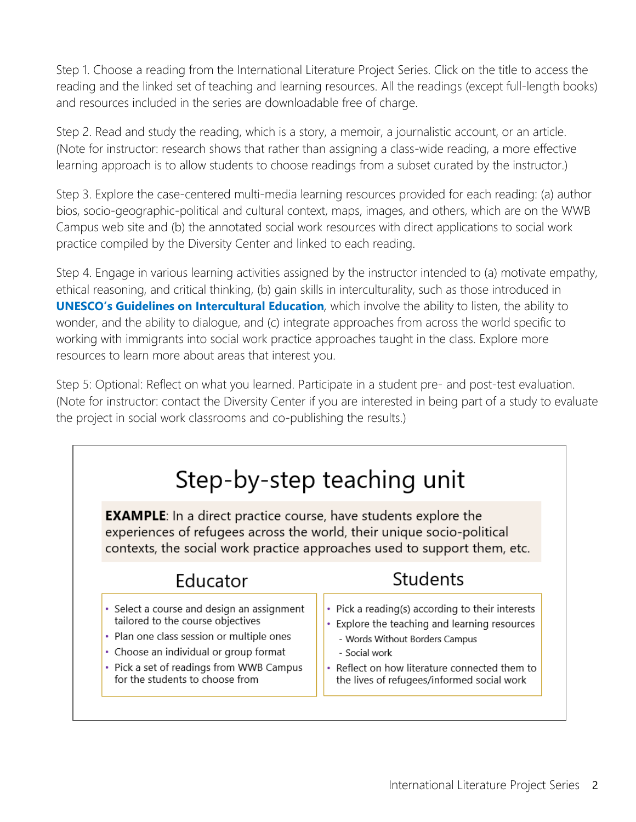Step 1. Choose a reading from the International Literature Project Series. Click on the title to access the reading and the linked set of teaching and learning resources. All the readings (except full-length books) and resources included in the series are downloadable free of charge.

Step 2. Read and study the reading, which is a story, a memoir, a journalistic account, or an article. (Note for instructor: research shows that rather than assigning a class-wide reading, a more effective learning approach is to allow students to choose readings from a subset curated by the instructor.)

Step 3. Explore the case-centered multi-media learning resources provided for each reading: (a) author bios, socio-geographic-political and cultural context, maps, images, and others, which are on the WWB Campus web site and (b) the annotated social work resources with direct applications to social work practice compiled by the Diversity Center and linked to each reading.

Step 4. Engage in various learning activities assigned by the instructor intended to (a) motivate empathy, ethical reasoning, and critical thinking, (b) gain skills in interculturality, such as those introduced in **[UNESCO's Guidelines on Intercultural Education](https://unesdoc.unesco.org/ark:/48223/pf0000147878)**, which involve the ability to listen, the ability to wonder, and the ability to dialogue, and (c) integrate approaches from across the world specific to working with immigrants into social work practice approaches taught in the class. Explore more resources to learn more about areas that interest you.

Step 5: Optional: Reflect on what you learned. Participate in a student pre- and post-test evaluation. (Note for instructor: contact the Diversity Center if you are interested in being part of a study to evaluate the project in social work classrooms and co-publishing the results.)

|                                                                                                                                                                                                                                                          | Step-by-step teaching unit                                                                                                                                                                                                                             |
|----------------------------------------------------------------------------------------------------------------------------------------------------------------------------------------------------------------------------------------------------------|--------------------------------------------------------------------------------------------------------------------------------------------------------------------------------------------------------------------------------------------------------|
| <b>EXAMPLE:</b> In a direct practice course, have students explore the<br>experiences of refugees across the world, their unique socio-political                                                                                                         | contexts, the social work practice approaches used to support them, etc.                                                                                                                                                                               |
| Educator                                                                                                                                                                                                                                                 | Students                                                                                                                                                                                                                                               |
| • Select a course and design an assignment<br>tailored to the course objectives<br>Plan one class session or multiple ones<br>٠<br>• Choose an individual or group format<br>• Pick a set of readings from WWB Campus<br>for the students to choose from | • Pick a reading(s) according to their interests<br>Explore the teaching and learning resources<br>٠<br>- Words Without Borders Campus<br>- Social work<br>• Reflect on how literature connected them to<br>the lives of refugees/informed social work |